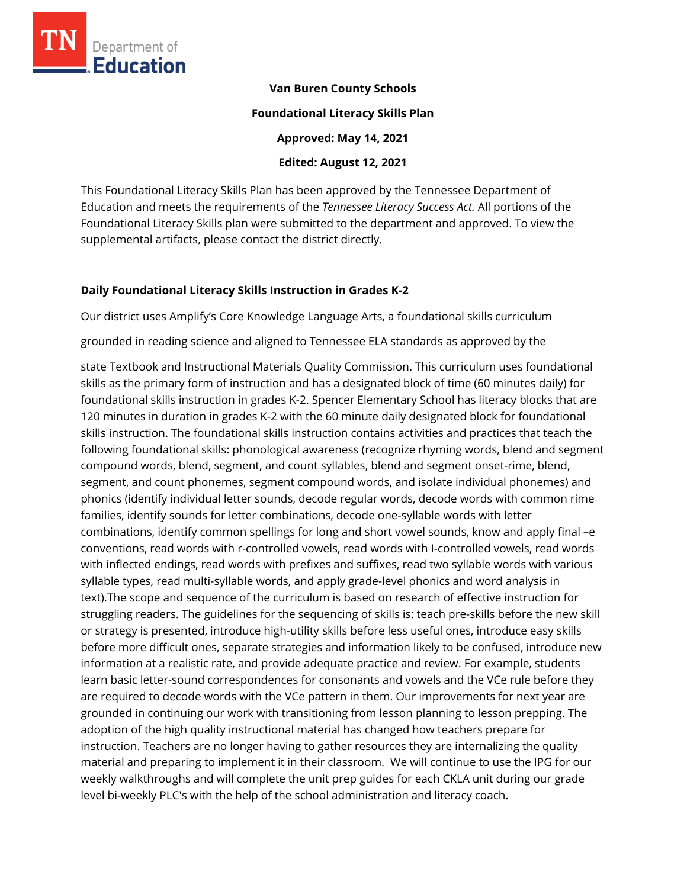

#### **Van Buren County Schools**

#### **Foundational Literacy Skills Plan**

**Approved: May 14, 2021** 

**Edited: August 12, 2021**

This Foundational Literacy Skills Plan has been approved by the Tennessee Department of Education and meets the requirements of the *Tennessee Literacy Success Act.* All portions of the Foundational Literacy Skills plan were submitted to the department and approved. To view the supplemental artifacts, please contact the district directly.

# **Daily Foundational Literacy Skills Instruction in Grades K-2**

Our district uses Amplify's Core Knowledge Language Arts, a foundational skills curriculum

grounded in reading science and aligned to Tennessee ELA standards as approved by the

state Textbook and Instructional Materials Quality Commission. This curriculum uses foundational skills as the primary form of instruction and has a designated block of time (60 minutes daily) for foundational skills instruction in grades K-2. Spencer Elementary School has literacy blocks that are 120 minutes in duration in grades K-2 with the 60 minute daily designated block for foundational skills instruction. The foundational skills instruction contains activities and practices that teach the following foundational skills: phonological awareness (recognize rhyming words, blend and segment compound words, blend, segment, and count syllables, blend and segment onset-rime, blend, segment, and count phonemes, segment compound words, and isolate individual phonemes) and phonics (identify individual letter sounds, decode regular words, decode words with common rime families, identify sounds for letter combinations, decode one-syllable words with letter combinations, identify common spellings for long and short vowel sounds, know and apply final –e conventions, read words with r-controlled vowels, read words with I-controlled vowels, read words with inflected endings, read words with prefixes and suffixes, read two syllable words with various syllable types, read multi-syllable words, and apply grade-level phonics and word analysis in text).The scope and sequence of the curriculum is based on research of effective instruction for struggling readers. The guidelines for the sequencing of skills is: teach pre-skills before the new skill or strategy is presented, introduce high-utility skills before less useful ones, introduce easy skills before more difficult ones, separate strategies and information likely to be confused, introduce new information at a realistic rate, and provide adequate practice and review. For example, students learn basic letter-sound correspondences for consonants and vowels and the VCe rule before they are required to decode words with the VCe pattern in them. Our improvements for next year are grounded in continuing our work with transitioning from lesson planning to lesson prepping. The adoption of the high quality instructional material has changed how teachers prepare for instruction. Teachers are no longer having to gather resources they are internalizing the quality material and preparing to implement it in their classroom. We will continue to use the IPG for our weekly walkthroughs and will complete the unit prep guides for each CKLA unit during our grade level bi-weekly PLC's with the help of the school administration and literacy coach.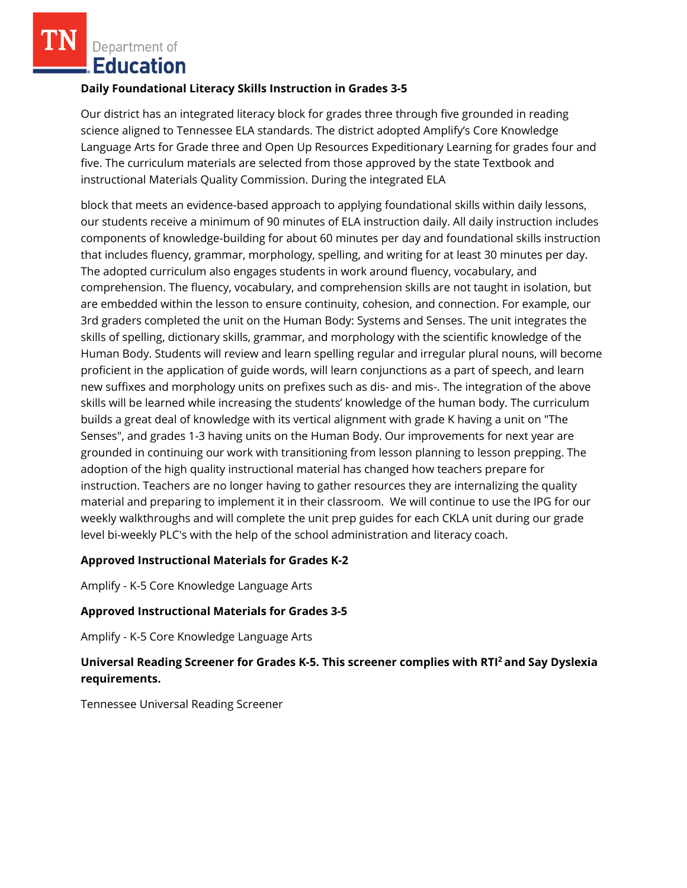Department of **Education** 

#### **Daily Foundational Literacy Skills Instruction in Grades 3-5**

Our district has an integrated literacy block for grades three through five grounded in reading science aligned to Tennessee ELA standards. The district adopted Amplify's Core Knowledge Language Arts for Grade three and Open Up Resources Expeditionary Learning for grades four and five. The curriculum materials are selected from those approved by the state Textbook and instructional Materials Quality Commission. During the integrated ELA

block that meets an evidence-based approach to applying foundational skills within daily lessons, our students receive a minimum of 90 minutes of ELA instruction daily. All daily instruction includes components of knowledge-building for about 60 minutes per day and foundational skills instruction that includes fluency, grammar, morphology, spelling, and writing for at least 30 minutes per day. The adopted curriculum also engages students in work around fluency, vocabulary, and comprehension. The fluency, vocabulary, and comprehension skills are not taught in isolation, but are embedded within the lesson to ensure continuity, cohesion, and connection. For example, our 3rd graders completed the unit on the Human Body: Systems and Senses. The unit integrates the skills of spelling, dictionary skills, grammar, and morphology with the scientific knowledge of the Human Body. Students will review and learn spelling regular and irregular plural nouns, will become proficient in the application of guide words, will learn conjunctions as a part of speech, and learn new suffixes and morphology units on prefixes such as dis- and mis-. The integration of the above skills will be learned while increasing the students' knowledge of the human body. The curriculum builds a great deal of knowledge with its vertical alignment with grade K having a unit on "The Senses", and grades 1-3 having units on the Human Body. Our improvements for next year are grounded in continuing our work with transitioning from lesson planning to lesson prepping. The adoption of the high quality instructional material has changed how teachers prepare for instruction. Teachers are no longer having to gather resources they are internalizing the quality material and preparing to implement it in their classroom. We will continue to use the IPG for our weekly walkthroughs and will complete the unit prep guides for each CKLA unit during our grade level bi-weekly PLC's with the help of the school administration and literacy coach.

# **Approved Instructional Materials for Grades K-2**

Amplify - K-5 Core Knowledge Language Arts

# **Approved Instructional Materials for Grades 3-5**

Amplify - K-5 Core Knowledge Language Arts

# **Universal Reading Screener for Grades K-5. This screener complies with RTI<sup>2</sup>and Say Dyslexia requirements.**

Tennessee Universal Reading Screener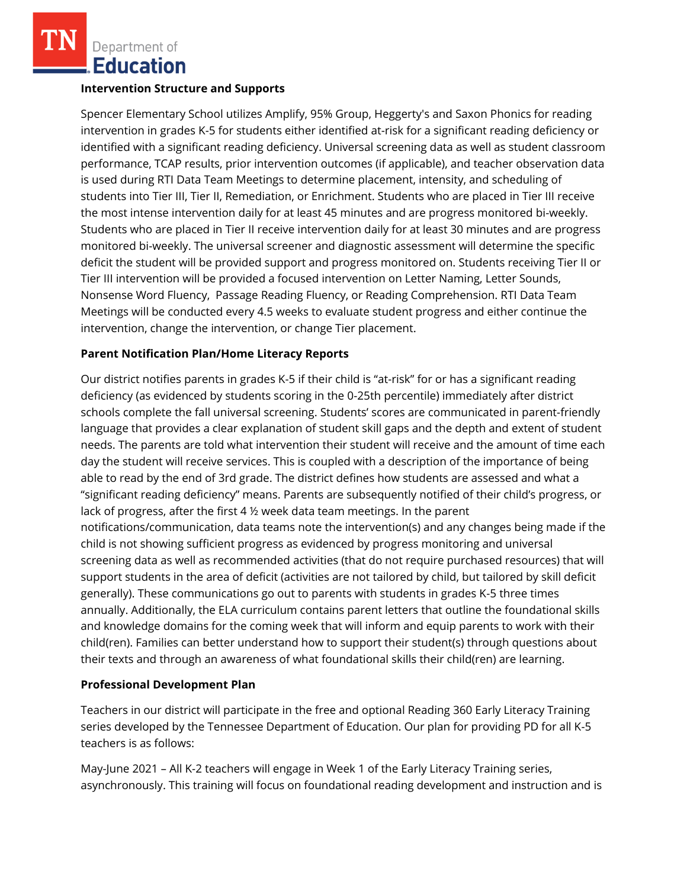Department of **Education** 

#### **Intervention Structure and Supports**

Spencer Elementary School utilizes Amplify, 95% Group, Heggerty's and Saxon Phonics for reading intervention in grades K-5 for students either identified at-risk for a significant reading deficiency or identified with a significant reading deficiency. Universal screening data as well as student classroom performance, TCAP results, prior intervention outcomes (if applicable), and teacher observation data is used during RTI Data Team Meetings to determine placement, intensity, and scheduling of students into Tier III, Tier II, Remediation, or Enrichment. Students who are placed in Tier III receive the most intense intervention daily for at least 45 minutes and are progress monitored bi-weekly. Students who are placed in Tier II receive intervention daily for at least 30 minutes and are progress monitored bi-weekly. The universal screener and diagnostic assessment will determine the specific deficit the student will be provided support and progress monitored on. Students receiving Tier II or Tier III intervention will be provided a focused intervention on Letter Naming, Letter Sounds, Nonsense Word Fluency, Passage Reading Fluency, or Reading Comprehension. RTI Data Team Meetings will be conducted every 4.5 weeks to evaluate student progress and either continue the intervention, change the intervention, or change Tier placement.

# **Parent Notification Plan/Home Literacy Reports**

Our district notifies parents in grades K-5 if their child is "at-risk" for or has a significant reading deficiency (as evidenced by students scoring in the 0-25th percentile) immediately after district schools complete the fall universal screening. Students' scores are communicated in parent-friendly language that provides a clear explanation of student skill gaps and the depth and extent of student needs. The parents are told what intervention their student will receive and the amount of time each day the student will receive services. This is coupled with a description of the importance of being able to read by the end of 3rd grade. The district defines how students are assessed and what a "significant reading deficiency" means. Parents are subsequently notified of their child's progress, or lack of progress, after the first 4 ½ week data team meetings. In the parent notifications/communication, data teams note the intervention(s) and any changes being made if the child is not showing sufficient progress as evidenced by progress monitoring and universal screening data as well as recommended activities (that do not require purchased resources) that will support students in the area of deficit (activities are not tailored by child, but tailored by skill deficit generally). These communications go out to parents with students in grades K-5 three times annually. Additionally, the ELA curriculum contains parent letters that outline the foundational skills and knowledge domains for the coming week that will inform and equip parents to work with their child(ren). Families can better understand how to support their student(s) through questions about their texts and through an awareness of what foundational skills their child(ren) are learning.

# **Professional Development Plan**

Teachers in our district will participate in the free and optional Reading 360 Early Literacy Training series developed by the Tennessee Department of Education. Our plan for providing PD for all K-5 teachers is as follows:

May-June 2021 – All K-2 teachers will engage in Week 1 of the Early Literacy Training series, asynchronously. This training will focus on foundational reading development and instruction and is